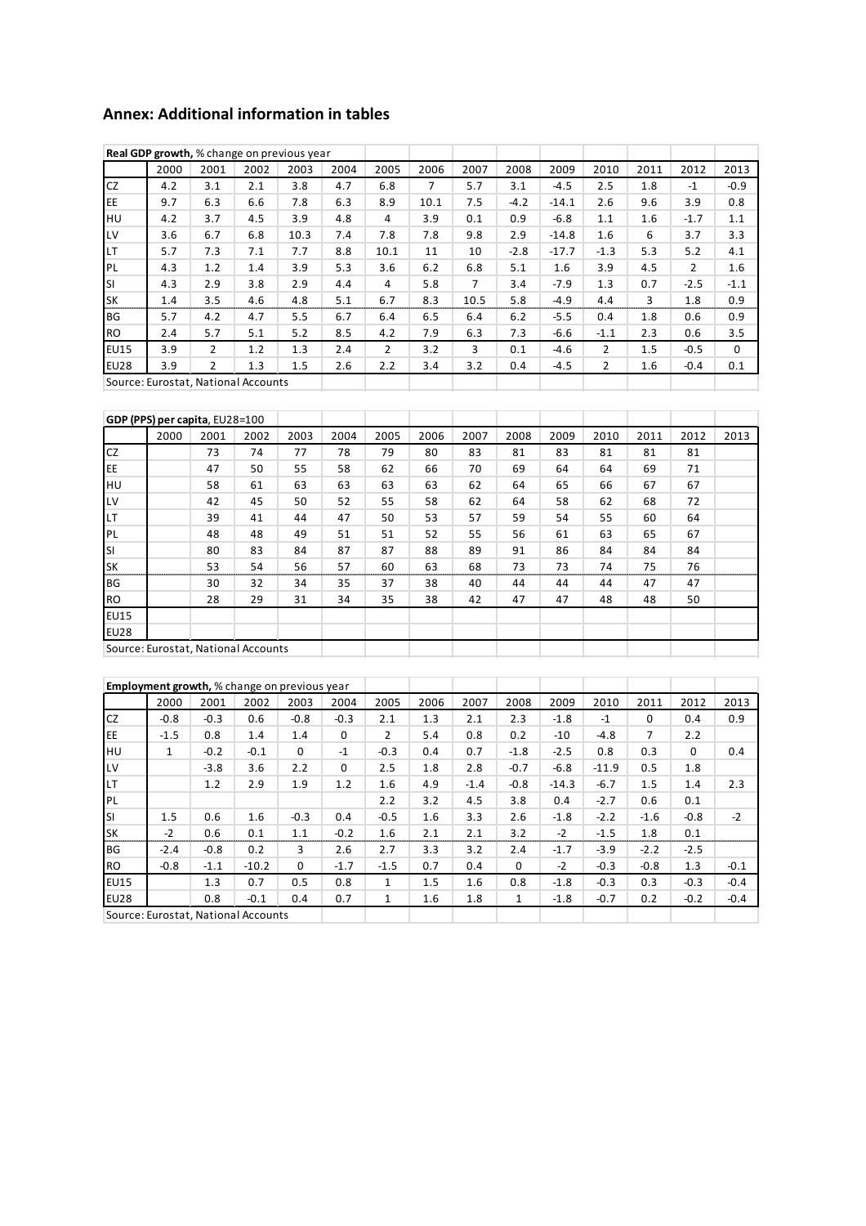## **Annex: Additional information in tables**

|                                     | Real GDP growth, % change on previous year |      |      |      |      |                |      |      |        |         |        |      |        |          |
|-------------------------------------|--------------------------------------------|------|------|------|------|----------------|------|------|--------|---------|--------|------|--------|----------|
|                                     | 2000                                       | 2001 | 2002 | 2003 | 2004 | 2005           | 2006 | 2007 | 2008   | 2009    | 2010   | 2011 | 2012   | 2013     |
| CZ                                  | 4.2                                        | 3.1  | 2.1  | 3.8  | 4.7  | 6.8            | 7    | 5.7  | 3.1    | $-4.5$  | 2.5    | 1.8  | $-1$   | $-0.9$   |
| EE                                  | 9.7                                        | 6.3  | 6.6  | 7.8  | 6.3  | 8.9            | 10.1 | 7.5  | $-4.2$ | $-14.1$ | 2.6    | 9.6  | 3.9    | 0.8      |
| HU                                  | 4.2                                        | 3.7  | 4.5  | 3.9  | 4.8  | 4              | 3.9  | 0.1  | 0.9    | $-6.8$  | 1.1    | 1.6  | $-1.7$ | 1.1      |
| LV                                  | 3.6                                        | 6.7  | 6.8  | 10.3 | 7.4  | 7.8            | 7.8  | 9.8  | 2.9    | $-14.8$ | 1.6    | 6    | 3.7    | 3.3      |
| LT                                  | 5.7                                        | 7.3  | 7.1  | 7.7  | 8.8  | 10.1           | 11   | 10   | $-2.8$ | $-17.7$ | $-1.3$ | 5.3  | 5.2    | 4.1      |
| PL                                  | 4.3                                        | 1.2  | 1.4  | 3.9  | 5.3  | 3.6            | 6.2  | 6.8  | 5.1    | 1.6     | 3.9    | 4.5  | 2      | 1.6      |
| SI                                  | 4.3                                        | 2.9  | 3.8  | 2.9  | 4.4  | $\overline{4}$ | 5.8  | 7    | 3.4    | $-7.9$  | 1.3    | 0.7  | $-2.5$ | $-1.1$   |
| <b>SK</b>                           | 1.4                                        | 3.5  | 4.6  | 4.8  | 5.1  | 6.7            | 8.3  | 10.5 | 5.8    | $-4.9$  | 4.4    | 3    | 1.8    | 0.9      |
| BG                                  | 5.7                                        | 4.2  | 4.7  | 5.5  | 6.7  | 6.4            | 6.5  | 6.4  | 6.2    | $-5.5$  | 0.4    | 1.8  | 0.6    | 0.9      |
| <b>RO</b>                           | 2.4                                        | 5.7  | 5.1  | 5.2  | 8.5  | 4.2            | 7.9  | 6.3  | 7.3    | $-6.6$  | $-1.1$ | 2.3  | 0.6    | 3.5      |
| <b>EU15</b>                         | 3.9                                        | 2    | 1.2  | 1.3  | 2.4  | 2              | 3.2  | 3    | 0.1    | $-4.6$  | 2      | 1.5  | $-0.5$ | $\Omega$ |
| <b>EU28</b>                         | 3.9                                        | 2    | 1.3  | 1.5  | 2.6  | 2.2            | 3.4  | 3.2  | 0.4    | $-4.5$  | 2      | 1.6  | $-0.4$ | 0.1      |
| Source: Eurostat, National Accounts |                                            |      |      |      |      |                |      |      |        |         |        |      |        |          |

| GDP (PPS) per capita, EU28=100 |                                     |      |      |      |      |      |      |      |      |      |      |      |      |      |
|--------------------------------|-------------------------------------|------|------|------|------|------|------|------|------|------|------|------|------|------|
|                                | 2000                                | 2001 | 2002 | 2003 | 2004 | 2005 | 2006 | 2007 | 2008 | 2009 | 2010 | 2011 | 2012 | 2013 |
| <b>CZ</b>                      |                                     | 73   | 74   | 77   | 78   | 79   | 80   | 83   | 81   | 83   | 81   | 81   | 81   |      |
| EE                             |                                     | 47   | 50   | 55   | 58   | 62   | 66   | 70   | 69   | 64   | 64   | 69   | 71   |      |
| HU                             |                                     | 58   | 61   | 63   | 63   | 63   | 63   | 62   | 64   | 65   | 66   | 67   | 67   |      |
| LV                             |                                     | 42   | 45   | 50   | 52   | 55   | 58   | 62   | 64   | 58   | 62   | 68   | 72   |      |
| <b>LT</b>                      |                                     | 39   | 41   | 44   | 47   | 50   | 53   | 57   | 59   | 54   | 55   | 60   | 64   |      |
| PL                             |                                     | 48   | 48   | 49   | 51   | 51   | 52   | 55   | 56   | 61   | 63   | 65   | 67   |      |
| SI                             |                                     | 80   | 83   | 84   | 87   | 87   | 88   | 89   | 91   | 86   | 84   | 84   | 84   |      |
| <b>SK</b>                      |                                     | 53   | 54   | 56   | 57   | 60   | 63   | 68   | 73   | 73   | 74   | 75   | 76   |      |
| <b>BG</b>                      |                                     | 30   | 32   | 34   | 35   | 37   | 38   | 40   | 44   | 44   | 44   | 47   | 47   |      |
| <b>RO</b>                      |                                     | 28   | 29   | 31   | 34   | 35   | 38   | 42   | 47   | 47   | 48   | 48   | 50   |      |
| <b>EU15</b>                    |                                     |      |      |      |      |      |      |      |      |      |      |      |      |      |
| <b>EU28</b>                    |                                     |      |      |      |      |      |      |      |      |      |      |      |      |      |
|                                | Source: Eurostat, National Accounts |      |      |      |      |      |      |      |      |      |      |      |      |      |

Source: Eurostat, National Accounts

|                                     | <b>Employment growth, %</b> change on previous year |        |         |             |          |              |      |        |              |         |         |          |          |        |
|-------------------------------------|-----------------------------------------------------|--------|---------|-------------|----------|--------------|------|--------|--------------|---------|---------|----------|----------|--------|
|                                     | 2000                                                | 2001   | 2002    | 2003        | 2004     | 2005         | 2006 | 2007   | 2008         | 2009    | 2010    | 2011     | 2012     | 2013   |
| CZ                                  | $-0.8$                                              | $-0.3$ | 0.6     | $-0.8$      | $-0.3$   | 2.1          | 1.3  | 2.1    | 2.3          | $-1.8$  | $-1$    | $\Omega$ | 0.4      | 0.9    |
| EE                                  | $-1.5$                                              | 0.8    | 1.4     | 1.4         | $\Omega$ | 2            | 5.4  | 0.8    | 0.2          | $-10$   | $-4.8$  | 7        | 2.2      |        |
| HU                                  | $\mathbf{1}$                                        | $-0.2$ | $-0.1$  | $\Omega$    | $-1$     | $-0.3$       | 0.4  | 0.7    | $-1.8$       | $-2.5$  | 0.8     | 0.3      | $\Omega$ | 0.4    |
| LV                                  |                                                     | $-3.8$ | 3.6     | 2.2         | $\Omega$ | 2.5          | 1.8  | 2.8    | $-0.7$       | $-6.8$  | $-11.9$ | 0.5      | 1.8      |        |
| <b>LT</b>                           |                                                     | 1.2    | 2.9     | 1.9         | 1.2      | 1.6          | 4.9  | $-1.4$ | $-0.8$       | $-14.3$ | $-6.7$  | 1.5      | 1.4      | 2.3    |
| PL                                  |                                                     |        |         |             |          | 2.2          | 3.2  | 4.5    | 3.8          | 0.4     | $-2.7$  | 0.6      | 0.1      |        |
| SI                                  | 1.5                                                 | 0.6    | 1.6     | $-0.3$      | 0.4      | $-0.5$       | 1.6  | 3.3    | 2.6          | $-1.8$  | $-2.2$  | $-1.6$   | $-0.8$   | $-2$   |
| SK                                  | $-2$                                                | 0.6    | 0.1     | 1.1         | $-0.2$   | 1.6          | 2.1  | 2.1    | 3.2          | $-2$    | $-1.5$  | 1.8      | 0.1      |        |
| BG                                  | $-2.4$                                              | $-0.8$ | 0.2     | 3           | 2.6      | 2.7          | 3.3  | 3.2    | 2.4          | $-1.7$  | $-3.9$  | $-2.2$   | $-2.5$   |        |
| <b>RO</b>                           | $-0.8$                                              | $-1.1$ | $-10.2$ | $\mathbf 0$ | $-1.7$   | $-1.5$       | 0.7  | 0.4    | $\mathbf 0$  | $-2$    | $-0.3$  | $-0.8$   | 1.3      | $-0.1$ |
| <b>EU15</b>                         |                                                     | 1.3    | 0.7     | 0.5         | 0.8      | $\mathbf{1}$ | 1.5  | 1.6    | 0.8          | $-1.8$  | $-0.3$  | 0.3      | $-0.3$   | $-0.4$ |
| <b>EU28</b>                         |                                                     | 0.8    | $-0.1$  | 0.4         | 0.7      | $\mathbf{1}$ | 1.6  | 1.8    | $\mathbf{1}$ | $-1.8$  | $-0.7$  | 0.2      | $-0.2$   | $-0.4$ |
| Source: Eurostat, National Accounts |                                                     |        |         |             |          |              |      |        |              |         |         |          |          |        |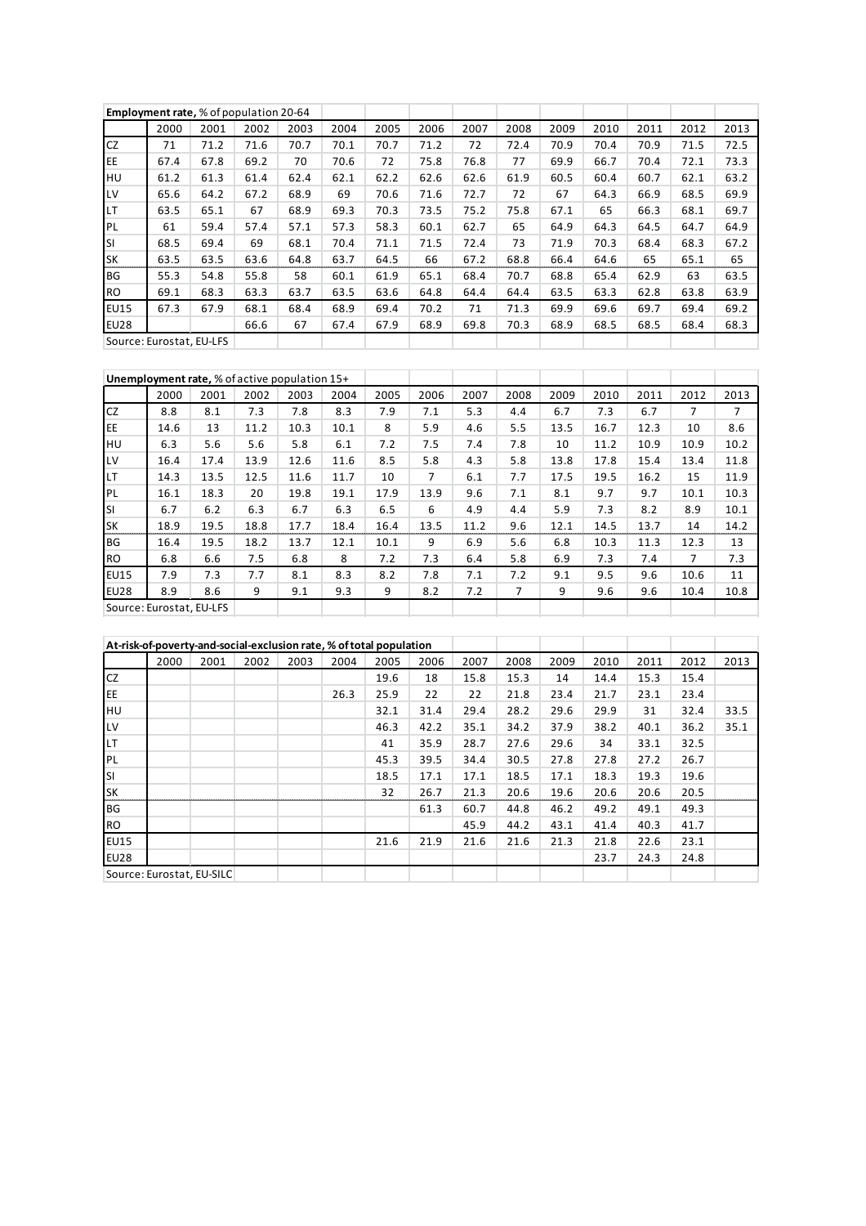|                          | <b>Employment rate, % of population 20-64</b> |      |      |      |      |      |      |      |      |      |      |      |      |      |
|--------------------------|-----------------------------------------------|------|------|------|------|------|------|------|------|------|------|------|------|------|
|                          | 2000                                          | 2001 | 2002 | 2003 | 2004 | 2005 | 2006 | 2007 | 2008 | 2009 | 2010 | 2011 | 2012 | 2013 |
| <b>CZ</b>                | 71                                            | 71.2 | 71.6 | 70.7 | 70.1 | 70.7 | 71.2 | 72   | 72.4 | 70.9 | 70.4 | 70.9 | 71.5 | 72.5 |
| EE                       | 67.4                                          | 67.8 | 69.2 | 70   | 70.6 | 72   | 75.8 | 76.8 | 77   | 69.9 | 66.7 | 70.4 | 72.1 | 73.3 |
| HU                       | 61.2                                          | 61.3 | 61.4 | 62.4 | 62.1 | 62.2 | 62.6 | 62.6 | 61.9 | 60.5 | 60.4 | 60.7 | 62.1 | 63.2 |
| LV                       | 65.6                                          | 64.2 | 67.2 | 68.9 | 69   | 70.6 | 71.6 | 72.7 | 72   | 67   | 64.3 | 66.9 | 68.5 | 69.9 |
| <b>LT</b>                | 63.5                                          | 65.1 | 67   | 68.9 | 69.3 | 70.3 | 73.5 | 75.2 | 75.8 | 67.1 | 65   | 66.3 | 68.1 | 69.7 |
| PL                       | 61                                            | 59.4 | 57.4 | 57.1 | 57.3 | 58.3 | 60.1 | 62.7 | 65   | 64.9 | 64.3 | 64.5 | 64.7 | 64.9 |
| SI                       | 68.5                                          | 69.4 | 69   | 68.1 | 70.4 | 71.1 | 71.5 | 72.4 | 73   | 71.9 | 70.3 | 68.4 | 68.3 | 67.2 |
| <b>SK</b>                | 63.5                                          | 63.5 | 63.6 | 64.8 | 63.7 | 64.5 | 66   | 67.2 | 68.8 | 66.4 | 64.6 | 65   | 65.1 | 65   |
| <b>BG</b>                | 55.3                                          | 54.8 | 55.8 | 58   | 60.1 | 61.9 | 65.1 | 68.4 | 70.7 | 68.8 | 65.4 | 62.9 | 63   | 63.5 |
| <b>RO</b>                | 69.1                                          | 68.3 | 63.3 | 63.7 | 63.5 | 63.6 | 64.8 | 64.4 | 64.4 | 63.5 | 63.3 | 62.8 | 63.8 | 63.9 |
| <b>EU15</b>              | 67.3                                          | 67.9 | 68.1 | 68.4 | 68.9 | 69.4 | 70.2 | 71   | 71.3 | 69.9 | 69.6 | 69.7 | 69.4 | 69.2 |
| <b>EU28</b>              |                                               |      | 66.6 | 67   | 67.4 | 67.9 | 68.9 | 69.8 | 70.3 | 68.9 | 68.5 | 68.5 | 68.4 | 68.3 |
| Source: Eurostat, EU-LFS |                                               |      |      |      |      |      |      |      |      |      |      |      |      |      |

|                          | Unemployment rate, % of active population 15+ |      |      |      |      |      |      |      |      |      |      |      |      |      |
|--------------------------|-----------------------------------------------|------|------|------|------|------|------|------|------|------|------|------|------|------|
|                          | 2000                                          | 2001 | 2002 | 2003 | 2004 | 2005 | 2006 | 2007 | 2008 | 2009 | 2010 | 2011 | 2012 | 2013 |
| <b>CZ</b>                | 8.8                                           | 8.1  | 7.3  | 7.8  | 8.3  | 7.9  | 7.1  | 5.3  | 4.4  | 6.7  | 7.3  | 6.7  | 7    | 7    |
| EE                       | 14.6                                          | 13   | 11.2 | 10.3 | 10.1 | 8    | 5.9  | 4.6  | 5.5  | 13.5 | 16.7 | 12.3 | 10   | 8.6  |
| HU                       | 6.3                                           | 5.6  | 5.6  | 5.8  | 6.1  | 7.2  | 7.5  | 7.4  | 7.8  | 10   | 11.2 | 10.9 | 10.9 | 10.2 |
| LV                       | 16.4                                          | 17.4 | 13.9 | 12.6 | 11.6 | 8.5  | 5.8  | 4.3  | 5.8  | 13.8 | 17.8 | 15.4 | 13.4 | 11.8 |
| <b>LT</b>                | 14.3                                          | 13.5 | 12.5 | 11.6 | 11.7 | 10   | 7    | 6.1  | 7.7  | 17.5 | 19.5 | 16.2 | 15   | 11.9 |
| PL                       | 16.1                                          | 18.3 | 20   | 19.8 | 19.1 | 17.9 | 13.9 | 9.6  | 7.1  | 8.1  | 9.7  | 9.7  | 10.1 | 10.3 |
| <b>SI</b>                | 6.7                                           | 6.2  | 6.3  | 6.7  | 6.3  | 6.5  | 6    | 4.9  | 4.4  | 5.9  | 7.3  | 8.2  | 8.9  | 10.1 |
| <b>SK</b>                | 18.9                                          | 19.5 | 18.8 | 17.7 | 18.4 | 16.4 | 13.5 | 11.2 | 9.6  | 12.1 | 14.5 | 13.7 | 14   | 14.2 |
| <b>BG</b>                | 16.4                                          | 19.5 | 18.2 | 13.7 | 12.1 | 10.1 | 9    | 6.9  | 5.6  | 6.8  | 10.3 | 11.3 | 12.3 | 13   |
| <b>RO</b>                | 6.8                                           | 6.6  | 7.5  | 6.8  | 8    | 7.2  | 7.3  | 6.4  | 5.8  | 6.9  | 7.3  | 7.4  | 7    | 7.3  |
| <b>EU15</b>              | 7.9                                           | 7.3  | 7.7  | 8.1  | 8.3  | 8.2  | 7.8  | 7.1  | 7.2  | 9.1  | 9.5  | 9.6  | 10.6 | 11   |
| <b>EU28</b>              | 8.9                                           | 8.6  | 9    | 9.1  | 9.3  | 9    | 8.2  | 7.2  | 7    | 9    | 9.6  | 9.6  | 10.4 | 10.8 |
| Source: Eurostat. EU-LFS |                                               |      |      |      |      |      |      |      |      |      |      |      |      |      |

|             | At-risk-of-poverty-and-social-exclusion rate, % of total population |      |      |      |      |      |      |      |      |      |      |      |      |      |
|-------------|---------------------------------------------------------------------|------|------|------|------|------|------|------|------|------|------|------|------|------|
|             | 2000                                                                | 2001 | 2002 | 2003 | 2004 | 2005 | 2006 | 2007 | 2008 | 2009 | 2010 | 2011 | 2012 | 2013 |
| <b>CZ</b>   |                                                                     |      |      |      |      | 19.6 | 18   | 15.8 | 15.3 | 14   | 14.4 | 15.3 | 15.4 |      |
| EE          |                                                                     |      |      |      | 26.3 | 25.9 | 22   | 22   | 21.8 | 23.4 | 21.7 | 23.1 | 23.4 |      |
| HU          |                                                                     |      |      |      |      | 32.1 | 31.4 | 29.4 | 28.2 | 29.6 | 29.9 | 31   | 32.4 | 33.5 |
| LV          |                                                                     |      |      |      |      | 46.3 | 42.2 | 35.1 | 34.2 | 37.9 | 38.2 | 40.1 | 36.2 | 35.1 |
| LT          |                                                                     |      |      |      |      | 41   | 35.9 | 28.7 | 27.6 | 29.6 | 34   | 33.1 | 32.5 |      |
| PL          |                                                                     |      |      |      |      | 45.3 | 39.5 | 34.4 | 30.5 | 27.8 | 27.8 | 27.2 | 26.7 |      |
| SI          |                                                                     |      |      |      |      | 18.5 | 17.1 | 17.1 | 18.5 | 17.1 | 18.3 | 19.3 | 19.6 |      |
| <b>SK</b>   |                                                                     |      |      |      |      | 32   | 26.7 | 21.3 | 20.6 | 19.6 | 20.6 | 20.6 | 20.5 |      |
| BG          |                                                                     |      |      |      |      |      | 61.3 | 60.7 | 44.8 | 46.2 | 49.2 | 49.1 | 49.3 |      |
| <b>RO</b>   |                                                                     |      |      |      |      |      |      | 45.9 | 44.2 | 43.1 | 41.4 | 40.3 | 41.7 |      |
| <b>EU15</b> |                                                                     |      |      |      |      | 21.6 | 21.9 | 21.6 | 21.6 | 21.3 | 21.8 | 22.6 | 23.1 |      |
| <b>EU28</b> |                                                                     |      |      |      |      |      |      |      |      |      | 23.7 | 24.3 | 24.8 |      |
|             | Source: Eurostat, EU-SILC                                           |      |      |      |      |      |      |      |      |      |      |      |      |      |